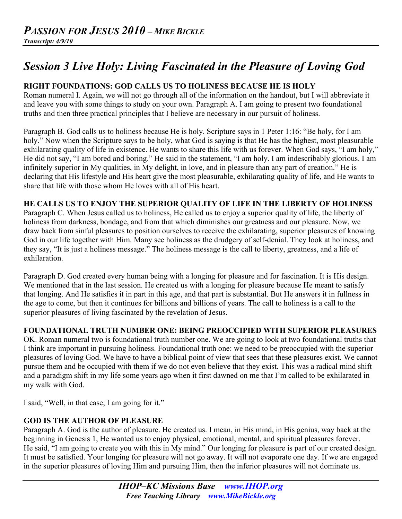# *Session 3 Live Holy: Living Fascinated in the Pleasure of Loving God*

## **RIGHT FOUNDATIONS: GOD CALLS US TO HOLINESS BECAUSE HE IS HOLY**

Roman numeral I. Again, we will not go through all of the information on the handout, but I will abbreviate it and leave you with some things to study on your own. Paragraph A. I am going to present two foundational truths and then three practical principles that I believe are necessary in our pursuit of holiness.

Paragraph B. God calls us to holiness because He is holy. Scripture says in 1 Peter 1:16: "Be holy, for I am holy." Now when the Scripture says to be holy, what God is saying is that He has the highest, most pleasurable exhilarating quality of life in existence. He wants to share this life with us forever. When God says, "I am holy," He did not say, "I am bored and boring." He said in the statement, "I am holy. I am indescribably glorious. I am infinitely superior in My qualities, in My delight, in love, and in pleasure than any part of creation." He is declaring that His lifestyle and His heart give the most pleasurable, exhilarating quality of life, and He wants to share that life with those whom He loves with all of His heart.

## **HE CALLS US TO ENJOY THE SUPERIOR QUALITY OF LIFE IN THE LIBERTY OF HOLINESS**

Paragraph C. When Jesus called us to holiness, He called us to enjoy a superior quality of life, the liberty of holiness from darkness, bondage, and from that which diminishes our greatness and our pleasure. Now, we draw back from sinful pleasures to position ourselves to receive the exhilarating, superior pleasures of knowing God in our life together with Him. Many see holiness as the drudgery of self-denial. They look at holiness, and they say, "It is just a holiness message." The holiness message is the call to liberty, greatness, and a life of exhilaration.

Paragraph D. God created every human being with a longing for pleasure and for fascination. It is His design. We mentioned that in the last session. He created us with a longing for pleasure because He meant to satisfy that longing. And He satisfies it in part in this age, and that part is substantial. But He answers it in fullness in the age to come, but then it continues for billions and billions of years. The call to holiness is a call to the superior pleasures of living fascinated by the revelation of Jesus.

## **FOUNDATIONAL TRUTH NUMBER ONE: BEING PREOCCIPIED WITH SUPERIOR PLEASURES**

OK. Roman numeral two is foundational truth number one. We are going to look at two foundational truths that I think are important in pursuing holiness. Foundational truth one: we need to be preoccupied with the superior pleasures of loving God. We have to have a biblical point of view that sees that these pleasures exist. We cannot pursue them and be occupied with them if we do not even believe that they exist. This was a radical mind shift and a paradigm shift in my life some years ago when it first dawned on me that I'm called to be exhilarated in my walk with God.

I said, "Well, in that case, I am going for it."

## **GOD IS THE AUTHOR OF PLEASURE**

Paragraph A. God is the author of pleasure. He created us. I mean, in His mind, in His genius, way back at the beginning in Genesis 1, He wanted us to enjoy physical, emotional, mental, and spiritual pleasures forever. He said, "I am going to create you with this in My mind." Our longing for pleasure is part of our created design. It must be satisfied. Your longing for pleasure will not go away. It will not evaporate one day. If we are engaged in the superior pleasures of loving Him and pursuing Him, then the inferior pleasures will not dominate us.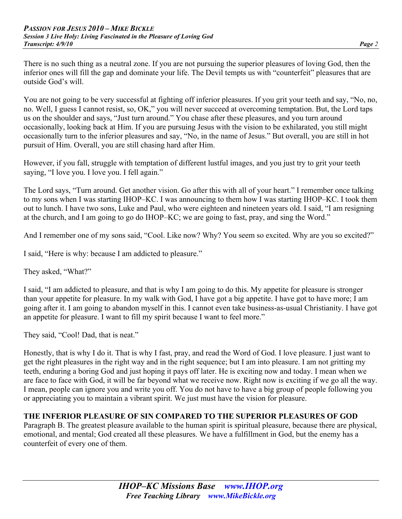There is no such thing as a neutral zone. If you are not pursuing the superior pleasures of loving God, then the inferior ones will fill the gap and dominate your life. The Devil tempts us with "counterfeit" pleasures that are outside God's will.

You are not going to be very successful at fighting off inferior pleasures. If you grit your teeth and say, "No, no, no. Well, I guess I cannot resist, so, OK," you will never succeed at overcoming temptation. But, the Lord taps us on the shoulder and says, "Just turn around." You chase after these pleasures, and you turn around occasionally, looking back at Him. If you are pursuing Jesus with the vision to be exhilarated, you still might occasionally turn to the inferior pleasures and say, "No, in the name of Jesus." But overall, you are still in hot pursuit of Him. Overall, you are still chasing hard after Him.

However, if you fall, struggle with temptation of different lustful images, and you just try to grit your teeth saying, "I love you. I love you. I fell again."

The Lord says, "Turn around. Get another vision. Go after this with all of your heart." I remember once talking to my sons when I was starting IHOP–KC. I was announcing to them how I was starting IHOP–KC. I took them out to lunch. I have two sons, Luke and Paul, who were eighteen and nineteen years old. I said, "I am resigning at the church, and I am going to go do IHOP–KC; we are going to fast, pray, and sing the Word."

And I remember one of my sons said, "Cool. Like now? Why? You seem so excited. Why are you so excited?"

I said, "Here is why: because I am addicted to pleasure."

They asked, "What?"

I said, "I am addicted to pleasure, and that is why I am going to do this. My appetite for pleasure is stronger than your appetite for pleasure. In my walk with God, I have got a big appetite. I have got to have more; I am going after it. I am going to abandon myself in this. I cannot even take business-as-usual Christianity. I have got an appetite for pleasure. I want to fill my spirit because I want to feel more."

They said, "Cool! Dad, that is neat."

Honestly, that is why I do it. That is why I fast, pray, and read the Word of God. I love pleasure. I just want to get the right pleasures in the right way and in the right sequence; but I am into pleasure. I am not gritting my teeth, enduring a boring God and just hoping it pays off later. He is exciting now and today. I mean when we are face to face with God, it will be far beyond what we receive now. Right now is exciting if we go all the way. I mean, people can ignore you and write you off. You do not have to have a big group of people following you or appreciating you to maintain a vibrant spirit. We just must have the vision for pleasure.

## **THE INFERIOR PLEASURE OF SIN COMPARED TO THE SUPERIOR PLEASURES OF GOD**

Paragraph B. The greatest pleasure available to the human spirit is spiritual pleasure, because there are physical, emotional, and mental; God created all these pleasures. We have a fulfillment in God, but the enemy has a counterfeit of every one of them.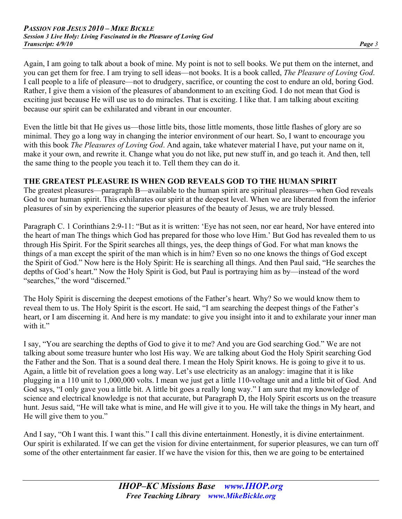Again, I am going to talk about a book of mine. My point is not to sell books. We put them on the internet, and you can get them for free. I am trying to sell ideas—not books. It is a book called, *The Pleasure of Loving God*. I call people to a life of pleasure—not to drudgery, sacrifice, or counting the cost to endure an old, boring God. Rather, I give them a vision of the pleasures of abandonment to an exciting God. I do not mean that God is exciting just because He will use us to do miracles. That is exciting. I like that. I am talking about exciting because our spirit can be exhilarated and vibrant in our encounter.

Even the little bit that He gives us—those little bits, those little moments, those little flashes of glory are so minimal. They go a long way in changing the interior environment of our heart. So, I want to encourage you with this book *The Pleasures of Loving God*. And again, take whatever material I have, put your name on it, make it your own, and rewrite it. Change what you do not like, put new stuff in, and go teach it. And then, tell the same thing to the people you teach it to. Tell them they can do it.

#### **THE GREATEST PLEASURE IS WHEN GOD REVEALS GOD TO THE HUMAN SPIRIT**

The greatest pleasures—paragraph B—available to the human spirit are spiritual pleasures—when God reveals God to our human spirit. This exhilarates our spirit at the deepest level. When we are liberated from the inferior pleasures of sin by experiencing the superior pleasures of the beauty of Jesus, we are truly blessed.

Paragraph C. 1 Corinthians 2:9-11: "But as it is written: 'Eye has not seen, nor ear heard, Nor have entered into the heart of man The things which God has prepared for those who love Him.' But God has revealed them to us through His Spirit. For the Spirit searches all things, yes, the deep things of God. For what man knows the things of a man except the spirit of the man which is in him? Even so no one knows the things of God except the Spirit of God." Now here is the Holy Spirit: He is searching all things. And then Paul said, "He searches the depths of God's heart." Now the Holy Spirit is God, but Paul is portraying him as by—instead of the word "searches," the word "discerned."

The Holy Spirit is discerning the deepest emotions of the Father's heart. Why? So we would know them to reveal them to us. The Holy Spirit is the escort. He said, "I am searching the deepest things of the Father's heart, or I am discerning it. And here is my mandate: to give you insight into it and to exhilarate your inner man with it."

I say, "You are searching the depths of God to give it to me? And you are God searching God." We are not talking about some treasure hunter who lost His way. We are talking about God the Holy Spirit searching God the Father and the Son. That is a sound deal there. I mean the Holy Spirit knows. He is going to give it to us. Again, a little bit of revelation goes a long way. Let's use electricity as an analogy: imagine that it is like plugging in a 110 unit to 1,000,000 volts. I mean we just get a little 110-voltage unit and a little bit of God. And God says, "I only gave you a little bit. A little bit goes a really long way." I am sure that my knowledge of science and electrical knowledge is not that accurate, but Paragraph D, the Holy Spirit escorts us on the treasure hunt. Jesus said, "He will take what is mine, and He will give it to you. He will take the things in My heart, and He will give them to you."

And I say, "Oh I want this. I want this." I call this divine entertainment. Honestly, it is divine entertainment. Our spirit is exhilarated. If we can get the vision for divine entertainment, for superior pleasures, we can turn off some of the other entertainment far easier. If we have the vision for this, then we are going to be entertained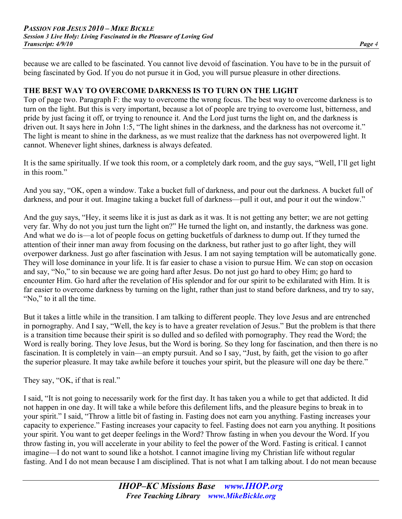because we are called to be fascinated. You cannot live devoid of fascination. You have to be in the pursuit of being fascinated by God. If you do not pursue it in God, you will pursue pleasure in other directions.

#### **THE BEST WAY TO OVERCOME DARKNESS IS TO TURN ON THE LIGHT**

Top of page two. Paragraph F: the way to overcome the wrong focus. The best way to overcome darkness is to turn on the light. But this is very important, because a lot of people are trying to overcome lust, bitterness, and pride by just facing it off, or trying to renounce it. And the Lord just turns the light on, and the darkness is driven out. It says here in John 1:5, "The light shines in the darkness, and the darkness has not overcome it." The light is meant to shine in the darkness, as we must realize that the darkness has not overpowered light. It cannot. Whenever light shines, darkness is always defeated.

It is the same spiritually. If we took this room, or a completely dark room, and the guy says, "Well, I'll get light in this room."

And you say, "OK, open a window. Take a bucket full of darkness, and pour out the darkness. A bucket full of darkness, and pour it out. Imagine taking a bucket full of darkness—pull it out, and pour it out the window."

And the guy says, "Hey, it seems like it is just as dark as it was. It is not getting any better; we are not getting very far. Why do not you just turn the light on?" He turned the light on, and instantly, the darkness was gone. And what we do is—a lot of people focus on getting bucketfuls of darkness to dump out. If they turned the attention of their inner man away from focusing on the darkness, but rather just to go after light, they will overpower darkness. Just go after fascination with Jesus. I am not saying temptation will be automatically gone. They will lose dominance in your life. It is far easier to chase a vision to pursue Him. We can stop on occasion and say, "No," to sin because we are going hard after Jesus. Do not just go hard to obey Him; go hard to encounter Him. Go hard after the revelation of His splendor and for our spirit to be exhilarated with Him. It is far easier to overcome darkness by turning on the light, rather than just to stand before darkness, and try to say, "No," to it all the time.

But it takes a little while in the transition. I am talking to different people. They love Jesus and are entrenched in pornography. And I say, "Well, the key is to have a greater revelation of Jesus." But the problem is that there is a transition time because their spirit is so dulled and so defiled with pornography. They read the Word; the Word is really boring. They love Jesus, but the Word is boring. So they long for fascination, and then there is no fascination. It is completely in vain—an empty pursuit. And so I say, "Just, by faith, get the vision to go after the superior pleasure. It may take awhile before it touches your spirit, but the pleasure will one day be there."

They say, "OK, if that is real."

I said, "It is not going to necessarily work for the first day. It has taken you a while to get that addicted. It did not happen in one day. It will take a while before this defilement lifts, and the pleasure begins to break in to your spirit." I said, "Throw a little bit of fasting in. Fasting does not earn you anything. Fasting increases your capacity to experience." Fasting increases your capacity to feel. Fasting does not earn you anything. It positions your spirit. You want to get deeper feelings in the Word? Throw fasting in when you devour the Word. If you throw fasting in, you will accelerate in your ability to feel the power of the Word. Fasting is critical. I cannot imagine—I do not want to sound like a hotshot. I cannot imagine living my Christian life without regular fasting. And I do not mean because I am disciplined. That is not what I am talking about. I do not mean because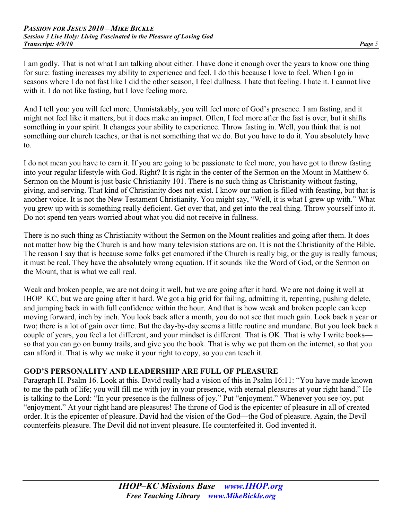I am godly. That is not what I am talking about either. I have done it enough over the years to know one thing for sure: fasting increases my ability to experience and feel. I do this because I love to feel. When I go in seasons where I do not fast like I did the other season, I feel dullness. I hate that feeling. I hate it. I cannot live with it. I do not like fasting, but I love feeling more.

And I tell you: you will feel more. Unmistakably, you will feel more of God's presence. I am fasting, and it might not feel like it matters, but it does make an impact. Often, I feel more after the fast is over, but it shifts something in your spirit. It changes your ability to experience. Throw fasting in. Well, you think that is not something our church teaches, or that is not something that we do. But you have to do it. You absolutely have to.

I do not mean you have to earn it. If you are going to be passionate to feel more, you have got to throw fasting into your regular lifestyle with God. Right? It is right in the center of the Sermon on the Mount in Matthew 6. Sermon on the Mount is just basic Christianity 101. There is no such thing as Christianity without fasting, giving, and serving. That kind of Christianity does not exist. I know our nation is filled with feasting, but that is another voice. It is not the New Testament Christianity. You might say, "Well, it is what I grew up with." What you grew up with is something really deficient. Get over that, and get into the real thing. Throw yourself into it. Do not spend ten years worried about what you did not receive in fullness.

There is no such thing as Christianity without the Sermon on the Mount realities and going after them. It does not matter how big the Church is and how many television stations are on. It is not the Christianity of the Bible. The reason I say that is because some folks get enamored if the Church is really big, or the guy is really famous; it must be real. They have the absolutely wrong equation. If it sounds like the Word of God, or the Sermon on the Mount, that is what we call real.

Weak and broken people, we are not doing it well, but we are going after it hard. We are not doing it well at IHOP–KC, but we are going after it hard. We got a big grid for failing, admitting it, repenting, pushing delete, and jumping back in with full confidence within the hour. And that is how weak and broken people can keep moving forward, inch by inch. You look back after a month, you do not see that much gain. Look back a year or two; there is a lot of gain over time. But the day-by-day seems a little routine and mundane. But you look back a couple of years, you feel a lot different, and your mindset is different. That is OK. That is why I write books so that you can go on bunny trails, and give you the book. That is why we put them on the internet, so that you can afford it. That is why we make it your right to copy, so you can teach it.

#### **GOD'S PERSONALITY AND LEADERSHIP ARE FULL OF PLEASURE**

Paragraph H. Psalm 16. Look at this. David really had a vision of this in Psalm 16:11: "You have made known to me the path of life; you will fill me with joy in your presence, with eternal pleasures at your right hand." He is talking to the Lord: "In your presence is the fullness of joy." Put "enjoyment." Whenever you see joy, put "enjoyment." At your right hand are pleasures! The throne of God is the epicenter of pleasure in all of created order. It is the epicenter of pleasure. David had the vision of the God—the God of pleasure. Again, the Devil counterfeits pleasure. The Devil did not invent pleasure. He counterfeited it. God invented it.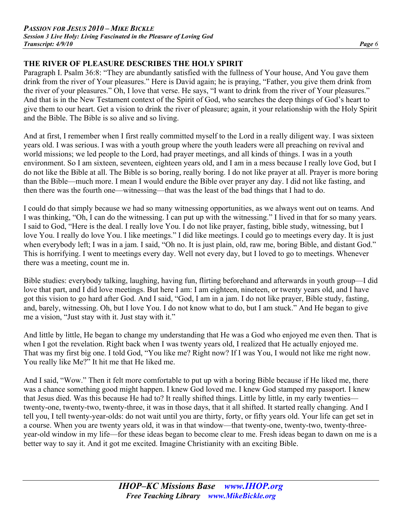## **THE RIVER OF PLEASURE DESCRIBES THE HOLY SPIRIT**

Paragraph I. Psalm 36:8: "They are abundantly satisfied with the fullness of Your house, And You gave them drink from the river of Your pleasures." Here is David again; he is praying, "Father, you give them drink from the river of your pleasures." Oh, I love that verse. He says, "I want to drink from the river of Your pleasures." And that is in the New Testament context of the Spirit of God, who searches the deep things of God's heart to give them to our heart. Get a vision to drink the river of pleasure; again, it your relationship with the Holy Spirit and the Bible. The Bible is so alive and so living.

And at first, I remember when I first really committed myself to the Lord in a really diligent way. I was sixteen years old. I was serious. I was with a youth group where the youth leaders were all preaching on revival and world missions; we led people to the Lord, had prayer meetings, and all kinds of things. I was in a youth environment. So I am sixteen, seventeen, eighteen years old, and I am in a mess because I really love God, but I do not like the Bible at all. The Bible is so boring, really boring. I do not like prayer at all. Prayer is more boring than the Bible—much more. I mean I would endure the Bible over prayer any day. I did not like fasting, and then there was the fourth one—witnessing—that was the least of the bad things that I had to do.

I could do that simply because we had so many witnessing opportunities, as we always went out on teams. And I was thinking, "Oh, I can do the witnessing. I can put up with the witnessing." I lived in that for so many years. I said to God, "Here is the deal. I really love You. I do not like prayer, fasting, bible study, witnessing, but I love You. I really do love You. I like meetings." I did like meetings. I could go to meetings every day. It is just when everybody left; I was in a jam. I said, "Oh no. It is just plain, old, raw me, boring Bible, and distant God." This is horrifying. I went to meetings every day. Well not every day, but I loved to go to meetings. Whenever there was a meeting, count me in.

Bible studies: everybody talking, laughing, having fun, flirting beforehand and afterwards in youth group—I did love that part, and I did love meetings. But here I am: I am eighteen, nineteen, or twenty years old, and I have got this vision to go hard after God. And I said, "God, I am in a jam. I do not like prayer, Bible study, fasting, and, barely, witnessing. Oh, but I love You. I do not know what to do, but I am stuck." And He began to give me a vision, "Just stay with it. Just stay with it."

And little by little, He began to change my understanding that He was a God who enjoyed me even then. That is when I got the revelation. Right back when I was twenty years old, I realized that He actually enjoyed me. That was my first big one. I told God, "You like me? Right now? If I was You, I would not like me right now. You really like Me?" It hit me that He liked me.

And I said, "Wow." Then it felt more comfortable to put up with a boring Bible because if He liked me, there was a chance something good might happen. I knew God loved me. I knew God stamped my passport. I knew that Jesus died. Was this because He had to? It really shifted things. Little by little, in my early twenties twenty-one, twenty-two, twenty-three, it was in those days, that it all shifted. It started really changing. And I tell you, I tell twenty-year-olds: do not wait until you are thirty, forty, or fifty years old. Your life can get set in a course. When you are twenty years old, it was in that window—that twenty-one, twenty-two, twenty-threeyear-old window in my life—for these ideas began to become clear to me. Fresh ideas began to dawn on me is a better way to say it. And it got me excited. Imagine Christianity with an exciting Bible.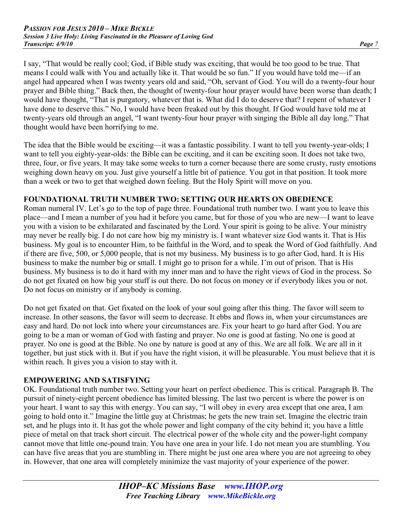I say, "That would be really cool; God, if Bible study was exciting, that would be too good to be true. That means I could walk with You and actually like it. That would be so fun." If you would have told me—if an angel had appeared when I was twenty years old and said, "Oh, servant of God. You will do a twenty-four hour prayer and Bible thing." Back then, the thought of twenty-four hour prayer would have been worse than death; I would have thought, "That is purgatory, whatever that is. What did I do to deserve that? I repent of whatever I have done to deserve this." No, I would have been freaked out by this thought. If God would have told me at twenty-years old through an angel, "I want twenty-four hour prayer with singing the Bible all day long." That thought would have been horrifying to me.

The idea that the Bible would be exciting—it was a fantastic possibility. I want to tell you twenty-year-olds; I want to tell you eighty-year-olds: the Bible can be exciting, and it can be exciting soon. It does not take two, three, four, or five years. It may take some weeks to turn a corner because there are some crusty, rusty emotions weighing down heavy on you. Just give yourself a little bit of patience. You got in that position. It took more than a week or two to get that weighed down feeling. But the Holy Spirit will move on you.

## **FOUNDATIONAL TRUTH NUMBER TWO: SETTING OUR HEARTS ON OBEDIENCE**

Roman numeral IV. Let's go to the top of page three. Foundational truth number two. I want you to leave this place—and I mean a number of you had it before you came, but for those of you who are new—I want to leave you with a vision to be exhilarated and fascinated by the Lord. Your spirit is going to be alive. Your ministry may never be really big. I do not care how big my ministry is. I want whatever size God wants it. That is His business. My goal is to encounter Him, to be faithful in the Word, and to speak the Word of God faithfully. And if there are five, 500, or 5,000 people, that is not my business. My business is to go after God, hard. It is His business to make the number big or small. I might go to prison for a while. I'm out of prison. That is His business. My business is to do it hard with my inner man and to have the right views of God in the process. So do not get fixated on how big your stuff is out there. Do not focus on money or if everybody likes you or not. Do not focus on ministry or if anybody is coming.

Do not get fixated on that. Get fixated on the look of your soul going after this thing. The favor will seem to increase. In other seasons, the favor will seem to decrease. It ebbs and flows in, when your circumstances are easy and hard. Do not lock into where your circumstances are. Fix your heart to go hard after God. You are going to be a man or woman of God with fasting and prayer. No one is good at fasting. No one is good at prayer. No one is good at the Bible. No one by nature is good at any of this. We are all folk. We are all in it together, but just stick with it. But if you have the right vision, it will be pleasurable. You must believe that it is within reach. It gives you a vision to stay with it.

## **EMPOWERING AND SATISFYING**

OK. Foundational truth number two. Setting your heart on perfect obedience. This is critical. Paragraph B. The pursuit of ninety-eight percent obedience has limited blessing. The last two percent is where the power is on your heart. I want to say this with energy. You can say, "I will obey in every area except that one area, I am going to hold onto it." Imagine the little guy at Christmas; he gets the new train set. Imagine the electric train set, and he plugs into it. It has got the whole power and light company of the city behind it; you have a little piece of metal on that track short circuit. The electrical power of the whole city and the power-light company cannot move that little one-pound train. You have one area in your life. I do not mean you are stumbling. You can have five areas that you are stumbling in. There might be just one area where you are not agreeing to obey in. However, that one area will completely minimize the vast majority of your experience of the power.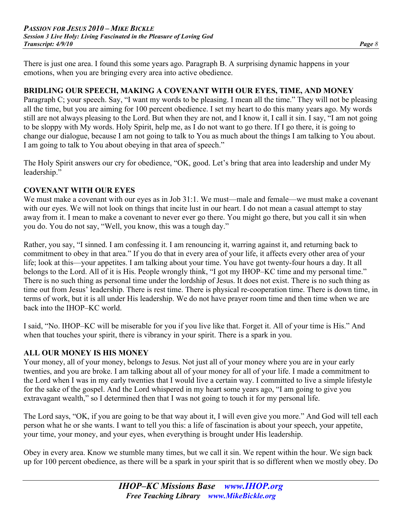There is just one area. I found this some years ago. Paragraph B. A surprising dynamic happens in your emotions, when you are bringing every area into active obedience.

#### **BRIDLING OUR SPEECH, MAKING A COVENANT WITH OUR EYES, TIME, AND MONEY**

Paragraph C; your speech. Say, "I want my words to be pleasing. I mean all the time." They will not be pleasing all the time, but you are aiming for 100 percent obedience. I set my heart to do this many years ago. My words still are not always pleasing to the Lord. But when they are not, and I know it, I call it sin. I say, "I am not going to be sloppy with My words. Holy Spirit, help me, as I do not want to go there. If I go there, it is going to change our dialogue, because I am not going to talk to You as much about the things I am talking to You about. I am going to talk to You about obeying in that area of speech."

The Holy Spirit answers our cry for obedience, "OK, good. Let's bring that area into leadership and under My leadership."

## **COVENANT WITH OUR EYES**

We must make a covenant with our eyes as in Job 31:1. We must—male and female—we must make a covenant with our eyes. We will not look on things that incite lust in our heart. I do not mean a casual attempt to stay away from it. I mean to make a covenant to never ever go there. You might go there, but you call it sin when you do. You do not say, "Well, you know, this was a tough day."

Rather, you say, "I sinned. I am confessing it. I am renouncing it, warring against it, and returning back to commitment to obey in that area." If you do that in every area of your life, it affects every other area of your life; look at this—your appetites. I am talking about your time. You have got twenty-four hours a day. It all belongs to the Lord. All of it is His. People wrongly think, "I got my IHOP–KC time and my personal time." There is no such thing as personal time under the lordship of Jesus. It does not exist. There is no such thing as time out from Jesus' leadership. There is rest time. There is physical re-cooperation time. There is down time, in terms of work, but it is all under His leadership. We do not have prayer room time and then time when we are back into the IHOP–KC world.

I said, "No. IHOP–KC will be miserable for you if you live like that. Forget it. All of your time is His." And when that touches your spirit, there is vibrancy in your spirit. There is a spark in you.

#### **ALL OUR MONEY IS HIS MONEY**

Your money, all of your money, belongs to Jesus. Not just all of your money where you are in your early twenties, and you are broke. I am talking about all of your money for all of your life. I made a commitment to the Lord when I was in my early twenties that I would live a certain way. I committed to live a simple lifestyle for the sake of the gospel. And the Lord whispered in my heart some years ago, "I am going to give you extravagant wealth," so I determined then that I was not going to touch it for my personal life.

The Lord says, "OK, if you are going to be that way about it, I will even give you more." And God will tell each person what he or she wants. I want to tell you this: a life of fascination is about your speech, your appetite, your time, your money, and your eyes, when everything is brought under His leadership.

Obey in every area. Know we stumble many times, but we call it sin. We repent within the hour. We sign back up for 100 percent obedience, as there will be a spark in your spirit that is so different when we mostly obey. Do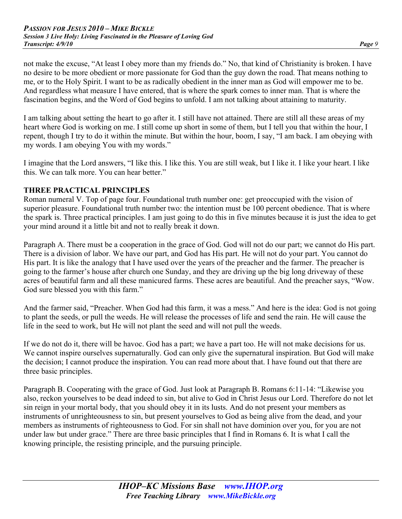not make the excuse, "At least I obey more than my friends do." No, that kind of Christianity is broken. I have no desire to be more obedient or more passionate for God than the guy down the road. That means nothing to me, or to the Holy Spirit. I want to be as radically obedient in the inner man as God will empower me to be. And regardless what measure I have entered, that is where the spark comes to inner man. That is where the fascination begins, and the Word of God begins to unfold. I am not talking about attaining to maturity.

I am talking about setting the heart to go after it. I still have not attained. There are still all these areas of my heart where God is working on me. I still come up short in some of them, but I tell you that within the hour, I repent, though I try to do it within the minute. But within the hour, boom, I say, "I am back. I am obeying with my words. I am obeying You with my words."

I imagine that the Lord answers, "I like this. I like this. You are still weak, but I like it. I like your heart. I like this. We can talk more. You can hear better."

#### **THREE PRACTICAL PRINCIPLES**

Roman numeral V. Top of page four. Foundational truth number one: get preoccupied with the vision of superior pleasure. Foundational truth number two: the intention must be 100 percent obedience. That is where the spark is. Three practical principles. I am just going to do this in five minutes because it is just the idea to get your mind around it a little bit and not to really break it down.

Paragraph A. There must be a cooperation in the grace of God. God will not do our part; we cannot do His part. There is a division of labor. We have our part, and God has His part. He will not do your part. You cannot do His part. It is like the analogy that I have used over the years of the preacher and the farmer. The preacher is going to the farmer's house after church one Sunday, and they are driving up the big long driveway of these acres of beautiful farm and all these manicured farms. These acres are beautiful. And the preacher says, "Wow. God sure blessed you with this farm."

And the farmer said, "Preacher. When God had this farm, it was a mess." And here is the idea: God is not going to plant the seeds, or pull the weeds. He will release the processes of life and send the rain. He will cause the life in the seed to work, but He will not plant the seed and will not pull the weeds.

If we do not do it, there will be havoc. God has a part; we have a part too. He will not make decisions for us. We cannot inspire ourselves supernaturally. God can only give the supernatural inspiration. But God will make the decision; I cannot produce the inspiration. You can read more about that. I have found out that there are three basic principles.

Paragraph B. Cooperating with the grace of God. Just look at Paragraph B. Romans 6:11-14: "Likewise you also, reckon yourselves to be dead indeed to sin, but alive to God in Christ Jesus our Lord. Therefore do not let sin reign in your mortal body, that you should obey it in its lusts. And do not present your members as instruments of unrighteousness to sin, but present yourselves to God as being alive from the dead, and your members as instruments of righteousness to God. For sin shall not have dominion over you, for you are not under law but under grace." There are three basic principles that I find in Romans 6. It is what I call the knowing principle, the resisting principle, and the pursuing principle.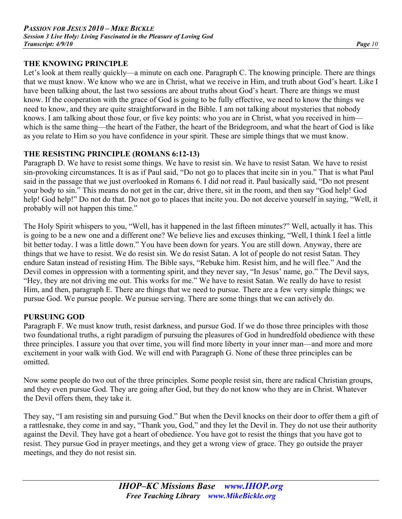#### **THE KNOWING PRINCIPLE**

Let's look at them really quickly—a minute on each one. Paragraph C. The knowing principle. There are things that we must know. We know who we are in Christ, what we receive in Him, and truth about God's heart. Like I have been talking about, the last two sessions are about truths about God's heart. There are things we must know. If the cooperation with the grace of God is going to be fully effective, we need to know the things we need to know, and they are quite straightforward in the Bible. I am not talking about mysteries that nobody knows. I am talking about those four, or five key points: who you are in Christ, what you received in him which is the same thing—the heart of the Father, the heart of the Bridegroom, and what the heart of God is like as you relate to Him so you have confidence in your spirit. These are simple things that we must know.

### **THE RESISTING PRINCIPLE (ROMANS 6:12-13)**

Paragraph D. We have to resist some things. We have to resist sin. We have to resist Satan. We have to resist sin-provoking circumstances. It is as if Paul said, "Do not go to places that incite sin in you." That is what Paul said in the passage that we just overlooked in Romans 6. I did not read it. Paul basically said, "Do not present your body to sin." This means do not get in the car, drive there, sit in the room, and then say "God help! God help! God help!" Do not do that. Do not go to places that incite you. Do not deceive yourself in saying, "Well, it probably will not happen this time."

The Holy Spirit whispers to you, "Well, has it happened in the last fifteen minutes?" Well, actually it has. This is going to be a new one and a different one? We believe lies and excuses thinking, "Well, I think I feel a little bit better today. I was a little down." You have been down for years. You are still down. Anyway, there are things that we have to resist. We do resist sin. We do resist Satan. A lot of people do not resist Satan. They endure Satan instead of resisting Him. The Bible says, "Rebuke him. Resist him, and he will flee." And the Devil comes in oppression with a tormenting spirit, and they never say, "In Jesus' name, go." The Devil says, "Hey, they are not driving me out. This works for me." We have to resist Satan. We really do have to resist Him, and then, paragraph E. There are things that we need to pursue. There are a few very simple things; we pursue God. We pursue people. We pursue serving. There are some things that we can actively do.

#### **PURSUING GOD**

Paragraph F. We must know truth, resist darkness, and pursue God. If we do those three principles with those two foundational truths, a right paradigm of pursuing the pleasures of God in hundredfold obedience with these three principles. I assure you that over time, you will find more liberty in your inner man—and more and more excitement in your walk with God. We will end with Paragraph G. None of these three principles can be omitted.

Now some people do two out of the three principles. Some people resist sin, there are radical Christian groups, and they even pursue God. They are going after God, but they do not know who they are in Christ. Whatever the Devil offers them, they take it.

They say, "I am resisting sin and pursuing God." But when the Devil knocks on their door to offer them a gift of a rattlesnake, they come in and say, "Thank you, God," and they let the Devil in. They do not use their authority against the Devil. They have got a heart of obedience. You have got to resist the things that you have got to resist. They pursue God in prayer meetings, and they get a wrong view of grace. They go outside the prayer meetings, and they do not resist sin.